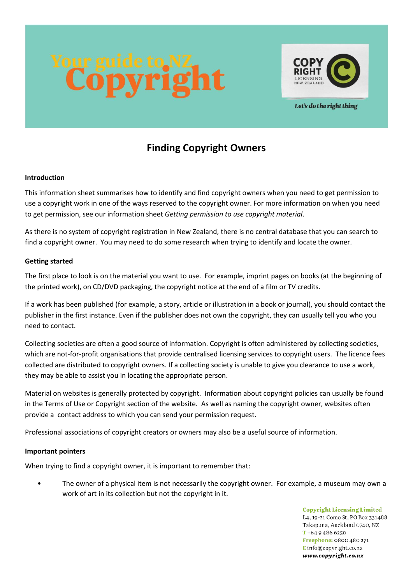

Let's do the right thing

# **Finding Copyright Owners**

# **Introduction**

This information sheet summarises how to identify and find copyright owners when you need to get permission to use a copyright work in one of the ways reserved to the copyright owner. For more information on when you need to get permission, see our information sheet *Getting permission to use copyright material*.

As there is no system of copyright registration in New Zealand, there is no central database that you can search to find a copyright owner. You may need to do some research when trying to identify and locate the owner.

# **Getting started**

The first place to look is on the material you want to use. For example, imprint pages on books (at the beginning of the printed work), on CD/DVD packaging, the copyright notice at the end of a film or TV credits.

If a work has been published (for example, a story, article or illustration in a book or journal), you should contact the publisher in the first instance. Even if the publisher does not own the copyright, they can usually tell you who you need to contact.

Collecting societies are often a good source of information. Copyright is often administered by collecting societies, which are not-for-profit organisations that provide centralised licensing services to copyright users. The licence fees collected are distributed to copyright owners. If a collecting society is unable to give you clearance to use a work, they may be able to assist you in locating the appropriate person.

Material on websites is generally protected by copyright. Information about copyright policies can usually be found in the Terms of Use or Copyright section of the website. As well as naming the copyright owner, websites often provide a contact address to which you can send your permission request.

Professional associations of copyright creators or owners may also be a useful source of information.

#### **Important pointers**

When trying to find a copyright owner, it is important to remember that:

The owner of a physical item is not necessarily the copyright owner. For example, a museum may own a work of art in its collection but not the copyright in it.

> **Copyright Licensing Limited** L4, 19-21 Como St, PO Box 331488. Takapuna, Auckland 0740, NZ  $T + 6494866250$ Freephone: 0800 480 271 Einfo@copyright.co.nz www.copyright.co.nz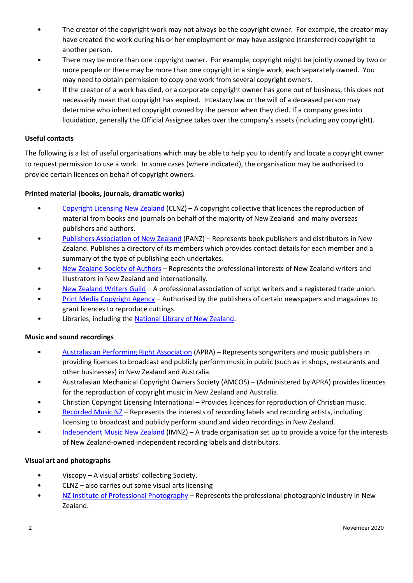- The creator of the copyright work may not always be the copyright owner. For example, the creator may have created the work during his or her employment or may have assigned (transferred) copyright to another person.
- There may be more than one copyright owner. For example, copyright might be jointly owned by two or more people or there may be more than one copyright in a single work, each separately owned. You may need to obtain permission to copy one work from several copyright owners.
- If the creator of a work has died, or a corporate copyright owner has gone out of business, this does not necessarily mean that copyright has expired. Intestacy law or the will of a deceased person may determine who inherited copyright owned by the person when they died. If a company goes into liquidation, generally the Official Assignee takes over the company's assets (including any copyright).

#### **Useful contacts**

The following is a list of useful organisations which may be able to help you to identify and locate a copyright owner to request permission to use a work. In some cases (where indicated), the organisation may be authorised to provide certain licences on behalf of copyright owners.

# **Printed material (books, journals, dramatic works)**

- [Copyright Licensing New Zealand](http://www.copyright.co.nz/) (CLNZ) A copyright collective that licences the reproduction of material from books and journals on behalf of the majority of New Zealand and many overseas publishers and authors.
- [Publishers Association of New Zealand](http://www.publishers.org.nz/) (PANZ) Represents book publishers and distributors in New Zealand. Publishes a directory of its members which provides contact details for each member and a summary of the type of publishing each undertakes.
- [New Zealand Society of Authors](http://www.authors.org.nz/) Represents the professional interests of New Zealand writers and illustrators in New Zealand and internationally.
- [New Zealand Writers Guild](http://www.nzwg.org.nz/) A professional association of script writers and a registered trade union.
- [Print Media Copyright Agency](http://www.pmca.co.nz/) Authorised by the publishers of certain newspapers and magazines to grant licences to reproduce cuttings.
- Libraries, including the [National Library of New Zealand.](http://www.natlib.govt.nz/)

#### **Music and sound recordings**

- [Australasian Performing Right Association](http://www.apra.co.nz/) (APRA) Represents songwriters and music publishers in providing licences to broadcast and publicly perform music in public (such as in shops, restaurants and other businesses) in New Zealand and Australia.
- Australasian Mechanical Copyright Owners Society (AMCOS) (Administered by APRA) provides licences for the reproduction of copyright music in New Zealand and Australia.
- Christian Copyright Licensing International Provides licences for reproduction of Christian music.
- [Recorded Music NZ](http://www.rmnz.co.nz/) Represents the interests of recording labels and recording artists, including licensing to broadcast and publicly perform sound and video recordings in New Zealand.
- [Independent Music New Zealand](http://www.indies.co.nz/imnz/) (IMNZ) A trade organisation set up to provide a voice for the interests of New Zealand-owned independent recording labels and distributors.

#### **Visual art and photographs**

- Viscopy A visual artists' collecting Society.
- CLNZ also carries out some visual arts licensing
- [NZ Institute of Professional Photography](https://www.nzipp.org.nz/) Represents the professional photographic industry in New Zealand.